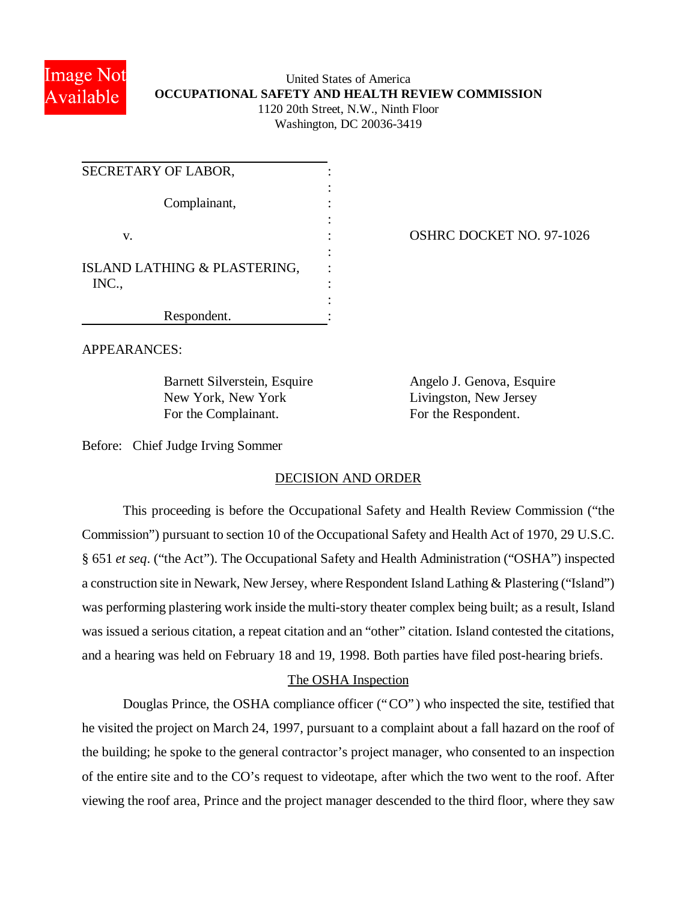

## United States of America **OCCUPATIONAL SAFETY AND HEALTH REVIEW COMMISSION** 1120 20th Street, N.W., Ninth Floor Washington, DC 20036-3419

| SECRETARY OF LABOR,                   |  |
|---------------------------------------|--|
| Complainant,                          |  |
| V.                                    |  |
| ISLAND LATHING & PLASTERING,<br>INC., |  |
| Respondent.                           |  |

OSHRC DOCKET NO. 97-1026

APPEARANCES:

Barnett Silverstein, Esquire Angelo J. Genova, Esquire New York, New York Livingston, New Jersey For the Complainant. For the Respondent.

Before: Chief Judge Irving Sommer

# DECISION AND ORDER

This proceeding is before the Occupational Safety and Health Review Commission ("the Commission") pursuant to section 10 of the Occupational Safety and Health Act of 1970, 29 U.S.C. § 651 *et seq*. ("the Act"). The Occupational Safety and Health Administration ("OSHA") inspected a construction site in Newark, New Jersey, where Respondent Island Lathing & Plastering ("Island") was performing plastering work inside the multi-story theater complex being built; as a result, Island was issued a serious citation, a repeat citation and an "other" citation. Island contested the citations, and a hearing was held on February 18 and 19, 1998. Both parties have filed post-hearing briefs.

# The OSHA Inspection

Douglas Prince, the OSHA compliance officer ("CO") who inspected the site, testified that he visited the project on March 24, 1997, pursuant to a complaint about a fall hazard on the roof of the building; he spoke to the general contractor's project manager, who consented to an inspection of the entire site and to the CO's request to videotape, after which the two went to the roof. After viewing the roof area, Prince and the project manager descended to the third floor, where they saw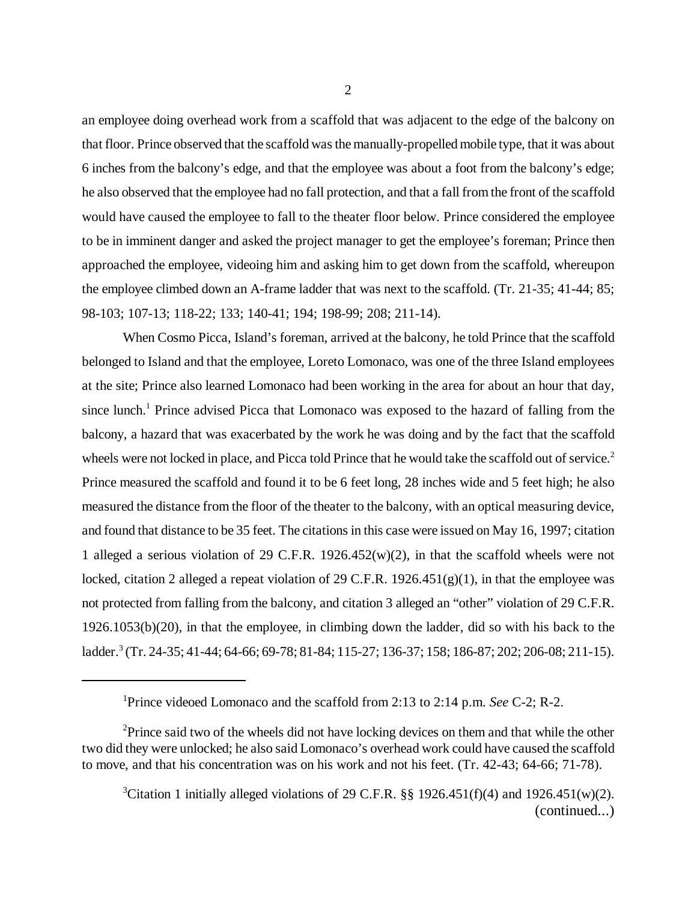an employee doing overhead work from a scaffold that was adjacent to the edge of the balcony on that floor. Prince observed that the scaffold was the manually-propelled mobile type, that it was about 6 inches from the balcony's edge, and that the employee was about a foot from the balcony's edge; he also observed that the employee had no fall protection, and that a fall from the front of the scaffold would have caused the employee to fall to the theater floor below. Prince considered the employee to be in imminent danger and asked the project manager to get the employee's foreman; Prince then approached the employee, videoing him and asking him to get down from the scaffold, whereupon the employee climbed down an A-frame ladder that was next to the scaffold. (Tr. 21-35; 41-44; 85; 98-103; 107-13; 118-22; 133; 140-41; 194; 198-99; 208; 211-14).

When Cosmo Picca, Island's foreman, arrived at the balcony, he told Prince that the scaffold belonged to Island and that the employee, Loreto Lomonaco, was one of the three Island employees at the site; Prince also learned Lomonaco had been working in the area for about an hour that day, since lunch.<sup>1</sup> Prince advised Picca that Lomonaco was exposed to the hazard of falling from the balcony, a hazard that was exacerbated by the work he was doing and by the fact that the scaffold wheels were not locked in place, and Picca told Prince that he would take the scaffold out of service.<sup>2</sup> Prince measured the scaffold and found it to be 6 feet long, 28 inches wide and 5 feet high; he also measured the distance from the floor of the theater to the balcony, with an optical measuring device, and found that distance to be 35 feet. The citations in this case were issued on May 16, 1997; citation 1 alleged a serious violation of 29 C.F.R. 1926.452(w)(2), in that the scaffold wheels were not locked, citation 2 alleged a repeat violation of 29 C.F.R.  $1926.451(g)(1)$ , in that the employee was not protected from falling from the balcony, and citation 3 alleged an "other" violation of 29 C.F.R. 1926.1053(b)(20), in that the employee, in climbing down the ladder, did so with his back to the ladder.<sup>3</sup> (Tr. 24-35; 41-44; 64-66; 69-78; 81-84; 115-27; 136-37; 158; 186-87; 202; 206-08; 211-15).

<sup>1</sup>Prince videoed Lomonaco and the scaffold from 2:13 to 2:14 p.m. *See* C-2; R-2.

 $2P$ rince said two of the wheels did not have locking devices on them and that while the other two did they were unlocked; he also said Lomonaco's overhead work could have caused the scaffold to move, and that his concentration was on his work and not his feet. (Tr. 42-43; 64-66; 71-78).

<sup>&</sup>lt;sup>3</sup>Citation 1 initially alleged violations of 29 C.F.R. §§ 1926.451(f)(4) and 1926.451(w)(2). (continued...)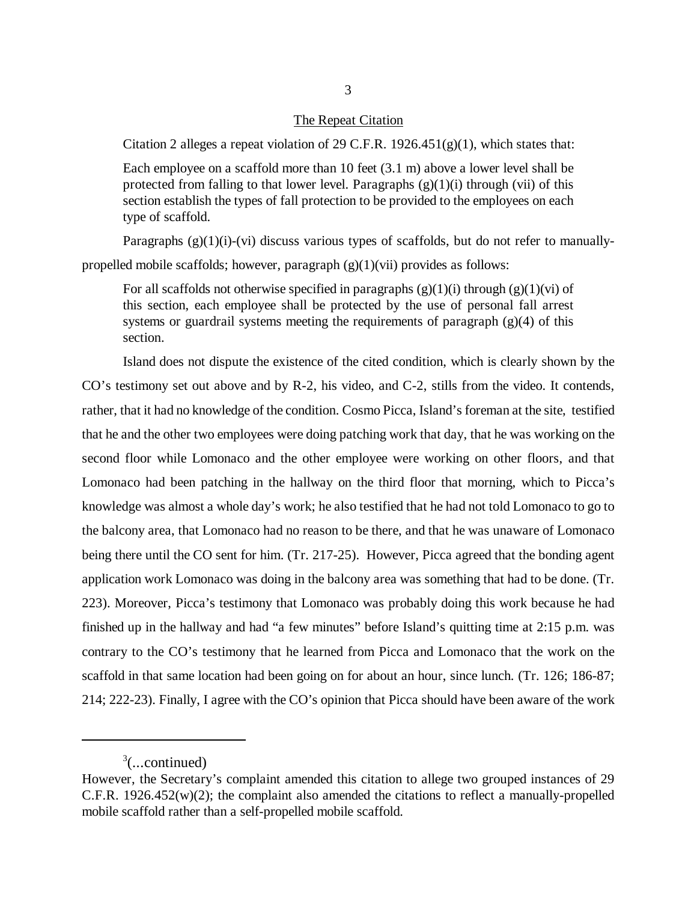#### The Repeat Citation

Citation 2 alleges a repeat violation of 29 C.F.R.  $1926.451(g)(1)$ , which states that:

Each employee on a scaffold more than 10 feet (3.1 m) above a lower level shall be protected from falling to that lower level. Paragraphs  $(g)(1)(i)$  through (vii) of this section establish the types of fall protection to be provided to the employees on each type of scaffold.

Paragraphs  $(g)(1)(i)-(vi)$  discuss various types of scaffolds, but do not refer to manuallypropelled mobile scaffolds; however, paragraph  $(g)(1)(vi)$  provides as follows:

For all scaffolds not otherwise specified in paragraphs  $(g)(1)(i)$  through  $(g)(1)(vi)$  of this section, each employee shall be protected by the use of personal fall arrest systems or guardrail systems meeting the requirements of paragraph  $(g)(4)$  of this section.

Island does not dispute the existence of the cited condition, which is clearly shown by the CO's testimony set out above and by R-2, his video, and C-2, stills from the video. It contends, rather, that it had no knowledge of the condition. Cosmo Picca, Island's foreman at the site, testified that he and the other two employees were doing patching work that day, that he was working on the second floor while Lomonaco and the other employee were working on other floors, and that Lomonaco had been patching in the hallway on the third floor that morning, which to Picca's knowledge was almost a whole day's work; he also testified that he had not told Lomonaco to go to the balcony area, that Lomonaco had no reason to be there, and that he was unaware of Lomonaco being there until the CO sent for him. (Tr. 217-25). However, Picca agreed that the bonding agent application work Lomonaco was doing in the balcony area was something that had to be done. (Tr. 223). Moreover, Picca's testimony that Lomonaco was probably doing this work because he had finished up in the hallway and had "a few minutes" before Island's quitting time at 2:15 p.m. was contrary to the CO's testimony that he learned from Picca and Lomonaco that the work on the scaffold in that same location had been going on for about an hour, since lunch. (Tr. 126; 186-87; 214; 222-23). Finally, I agree with the CO's opinion that Picca should have been aware of the work

 $3$ (...continued)

However, the Secretary's complaint amended this citation to allege two grouped instances of 29 C.F.R. 1926.452(w)(2); the complaint also amended the citations to reflect a manually-propelled mobile scaffold rather than a self-propelled mobile scaffold.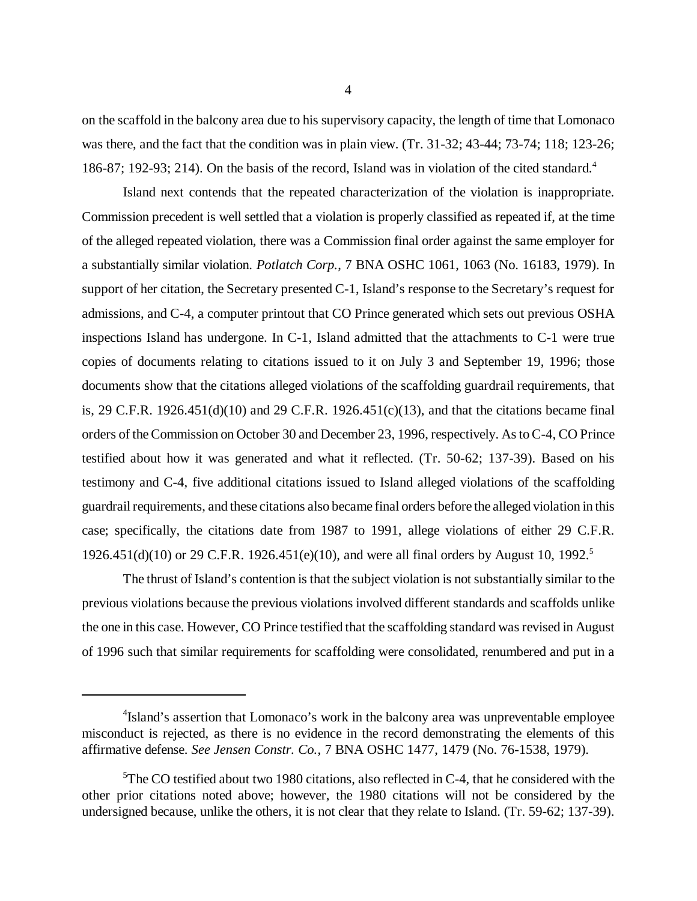on the scaffold in the balcony area due to his supervisory capacity, the length of time that Lomonaco was there, and the fact that the condition was in plain view. (Tr. 31-32; 43-44; 73-74; 118; 123-26; 186-87; 192-93; 214). On the basis of the record, Island was in violation of the cited standard.<sup>4</sup>

Island next contends that the repeated characterization of the violation is inappropriate. Commission precedent is well settled that a violation is properly classified as repeated if, at the time of the alleged repeated violation, there was a Commission final order against the same employer for a substantially similar violation. *Potlatch Corp.*, 7 BNA OSHC 1061, 1063 (No. 16183, 1979). In support of her citation, the Secretary presented C-1, Island's response to the Secretary's request for admissions, and C-4, a computer printout that CO Prince generated which sets out previous OSHA inspections Island has undergone. In C-1, Island admitted that the attachments to C-1 were true copies of documents relating to citations issued to it on July 3 and September 19, 1996; those documents show that the citations alleged violations of the scaffolding guardrail requirements, that is, 29 C.F.R. 1926.451(d)(10) and 29 C.F.R. 1926.451(c)(13), and that the citations became final orders of the Commission on October 30 and December 23, 1996, respectively. As to C-4, CO Prince testified about how it was generated and what it reflected. (Tr. 50-62; 137-39). Based on his testimony and C-4, five additional citations issued to Island alleged violations of the scaffolding guardrail requirements, and these citations also became final orders before the alleged violation in this case; specifically, the citations date from 1987 to 1991, allege violations of either 29 C.F.R. 1926.451(d)(10) or 29 C.F.R. 1926.451(e)(10), and were all final orders by August 10, 1992.<sup>5</sup>

The thrust of Island's contention is that the subject violation is not substantially similar to the previous violations because the previous violations involved different standards and scaffolds unlike the one in this case. However, CO Prince testified that the scaffolding standard was revised in August of 1996 such that similar requirements for scaffolding were consolidated, renumbered and put in a

<sup>&</sup>lt;sup>4</sup>Island's assertion that Lomonaco's work in the balcony area was unpreventable employee misconduct is rejected, as there is no evidence in the record demonstrating the elements of this affirmative defense. *See Jensen Constr. Co.*, 7 BNA OSHC 1477, 1479 (No. 76-1538, 1979).

 $5$ The CO testified about two 1980 citations, also reflected in C-4, that he considered with the other prior citations noted above; however, the 1980 citations will not be considered by the undersigned because, unlike the others, it is not clear that they relate to Island. (Tr. 59-62; 137-39).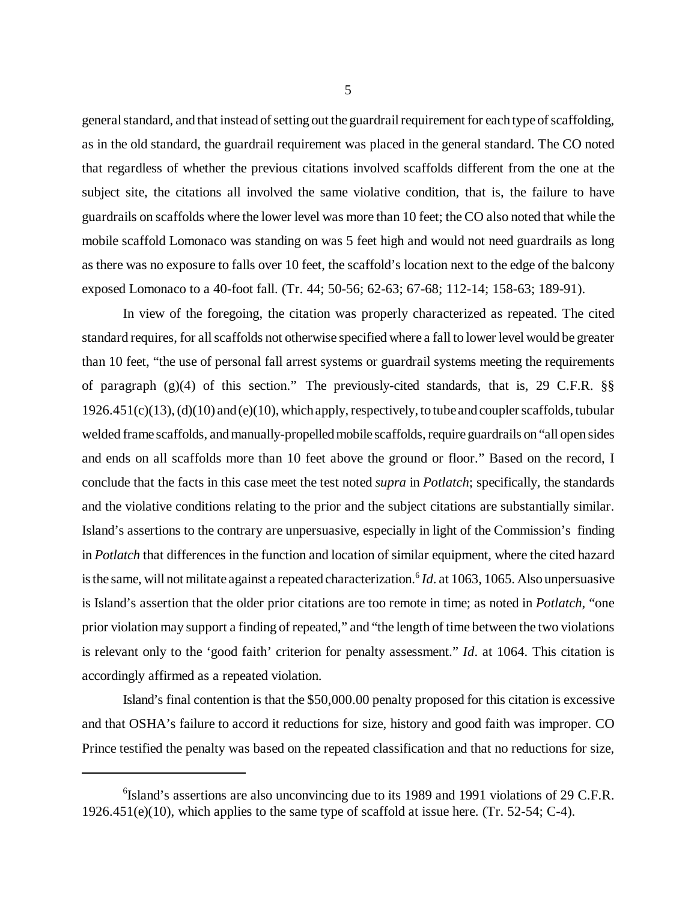general standard, and that instead of setting out the guardrail requirement for each type of scaffolding, as in the old standard, the guardrail requirement was placed in the general standard. The CO noted that regardless of whether the previous citations involved scaffolds different from the one at the subject site, the citations all involved the same violative condition, that is, the failure to have guardrails on scaffolds where the lower level was more than 10 feet; the CO also noted that while the mobile scaffold Lomonaco was standing on was 5 feet high and would not need guardrails as long as there was no exposure to falls over 10 feet, the scaffold's location next to the edge of the balcony exposed Lomonaco to a 40-foot fall. (Tr. 44; 50-56; 62-63; 67-68; 112-14; 158-63; 189-91).

In view of the foregoing, the citation was properly characterized as repeated. The cited standard requires, for all scaffolds not otherwise specified where a fall to lower level would be greater than 10 feet, "the use of personal fall arrest systems or guardrail systems meeting the requirements of paragraph (g)(4) of this section." The previously-cited standards, that is, 29 C.F.R. §§  $1926.451(c)(13)$ , (d)(10) and (e)(10), which apply, respectively, to tube and coupler scaffolds, tubular welded frame scaffolds, and manually-propelled mobile scaffolds, require guardrails on "all open sides and ends on all scaffolds more than 10 feet above the ground or floor." Based on the record, I conclude that the facts in this case meet the test noted *supra* in *Potlatch*; specifically, the standards and the violative conditions relating to the prior and the subject citations are substantially similar. Island's assertions to the contrary are unpersuasive, especially in light of the Commission's finding in *Potlatch* that differences in the function and location of similar equipment, where the cited hazard is the same, will not militate against a repeated characterization.<sup>6</sup> *Id*. at 1063, 1065. Also unpersuasive is Island's assertion that the older prior citations are too remote in time; as noted in *Potlatch*, "one prior violation may support a finding of repeated," and "the length of time between the two violations is relevant only to the 'good faith' criterion for penalty assessment." *Id*. at 1064. This citation is accordingly affirmed as a repeated violation.

Island's final contention is that the \$50,000.00 penalty proposed for this citation is excessive and that OSHA's failure to accord it reductions for size, history and good faith was improper. CO Prince testified the penalty was based on the repeated classification and that no reductions for size,

<sup>&</sup>lt;sup>6</sup>Island's assertions are also unconvincing due to its 1989 and 1991 violations of 29 C.F.R.  $1926.451(e)(10)$ , which applies to the same type of scaffold at issue here. (Tr. 52-54; C-4).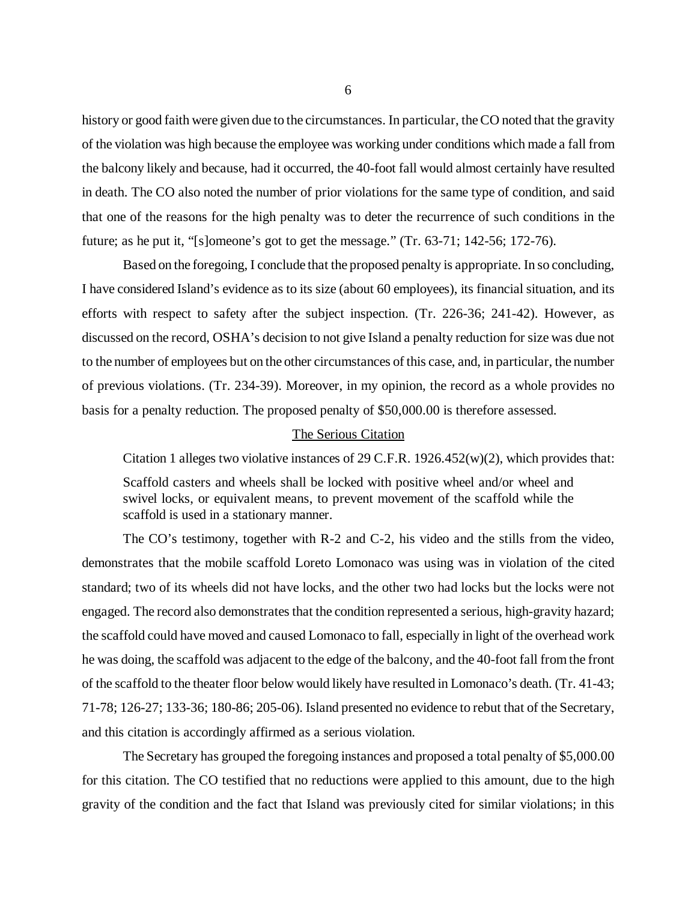history or good faith were given due to the circumstances. In particular, the CO noted that the gravity of the violation was high because the employee was working under conditions which made a fall from the balcony likely and because, had it occurred, the 40-foot fall would almost certainly have resulted in death. The CO also noted the number of prior violations for the same type of condition, and said that one of the reasons for the high penalty was to deter the recurrence of such conditions in the future; as he put it, "[s]omeone's got to get the message." (Tr. 63-71; 142-56; 172-76).

Based on the foregoing, I conclude that the proposed penalty is appropriate. In so concluding, I have considered Island's evidence as to its size (about 60 employees), its financial situation, and its efforts with respect to safety after the subject inspection. (Tr. 226-36; 241-42). However, as discussed on the record, OSHA's decision to not give Island a penalty reduction for size was due not to the number of employees but on the other circumstances of this case, and, in particular, the number of previous violations. (Tr. 234-39). Moreover, in my opinion, the record as a whole provides no basis for a penalty reduction. The proposed penalty of \$50,000.00 is therefore assessed.

## The Serious Citation

Citation 1 alleges two violative instances of 29 C.F.R. 1926.452(w)(2), which provides that:

Scaffold casters and wheels shall be locked with positive wheel and/or wheel and swivel locks, or equivalent means, to prevent movement of the scaffold while the scaffold is used in a stationary manner.

The CO's testimony, together with R-2 and C-2, his video and the stills from the video, demonstrates that the mobile scaffold Loreto Lomonaco was using was in violation of the cited standard; two of its wheels did not have locks, and the other two had locks but the locks were not engaged. The record also demonstrates that the condition represented a serious, high-gravity hazard; the scaffold could have moved and caused Lomonaco to fall, especially in light of the overhead work he was doing, the scaffold was adjacent to the edge of the balcony, and the 40-foot fall from the front of the scaffold to the theater floor below would likely have resulted in Lomonaco's death. (Tr. 41-43; 71-78; 126-27; 133-36; 180-86; 205-06). Island presented no evidence to rebut that of the Secretary, and this citation is accordingly affirmed as a serious violation.

The Secretary has grouped the foregoing instances and proposed a total penalty of \$5,000.00 for this citation. The CO testified that no reductions were applied to this amount, due to the high gravity of the condition and the fact that Island was previously cited for similar violations; in this